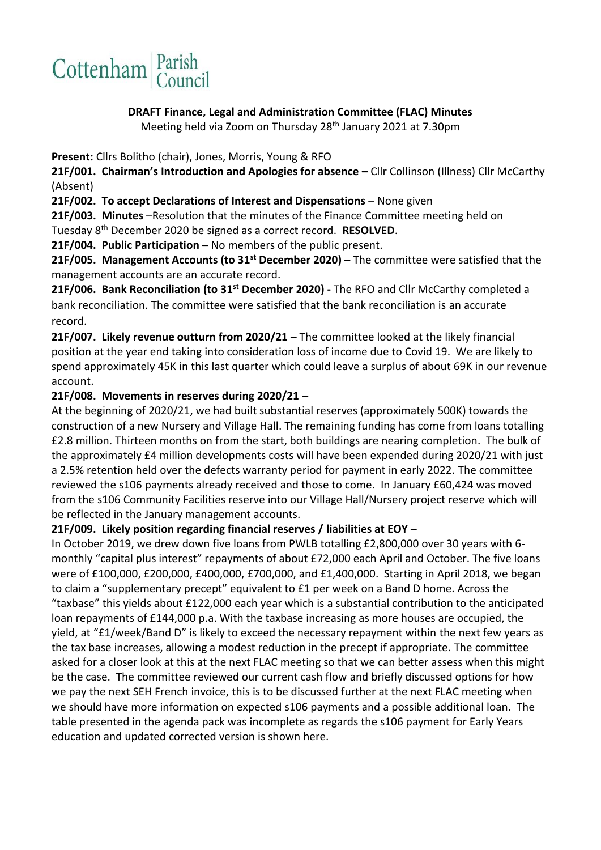

#### **DRAFT Finance, Legal and Administration Committee (FLAC) Minutes**

Meeting held via Zoom on Thursday 28<sup>th</sup> January 2021 at 7.30pm

**Present:** Cllrs Bolitho (chair), Jones, Morris, Young & RFO

**21F/001. Chairman's Introduction and Apologies for absence –** Cllr Collinson (Illness) Cllr McCarthy (Absent)

**21F/002. To accept Declarations of Interest and Dispensations** – None given

**21F/003. Minutes** –Resolution that the minutes of the Finance Committee meeting held on

Tuesday 8th December 2020 be signed as a correct record. **RESOLVED**.

**21F/004. Public Participation –** No members of the public present.

**21F/005. Management Accounts (to 31 st December 2020) –** The committee were satisfied that the management accounts are an accurate record.

21F/006. Bank Reconciliation (to 31<sup>st</sup> December 2020) - The RFO and Cllr McCarthy completed a bank reconciliation. The committee were satisfied that the bank reconciliation is an accurate record.

**21F/007. Likely revenue outturn from 2020/21 –** The committee looked at the likely financial position at the year end taking into consideration loss of income due to Covid 19. We are likely to spend approximately 45K in this last quarter which could leave a surplus of about 69K in our revenue account.

### **21F/008. Movements in reserves during 2020/21 –**

At the beginning of 2020/21, we had built substantial reserves (approximately 500K) towards the construction of a new Nursery and Village Hall. The remaining funding has come from loans totalling £2.8 million. Thirteen months on from the start, both buildings are nearing completion. The bulk of the approximately £4 million developments costs will have been expended during 2020/21 with just a 2.5% retention held over the defects warranty period for payment in early 2022. The committee reviewed the s106 payments already received and those to come. In January £60,424 was moved from the s106 Community Facilities reserve into our Village Hall/Nursery project reserve which will be reflected in the January management accounts.

### **21F/009. Likely position regarding financial reserves / liabilities at EOY –**

In October 2019, we drew down five loans from PWLB totalling £2,800,000 over 30 years with 6 monthly "capital plus interest" repayments of about £72,000 each April and October. The five loans were of £100,000, £200,000, £400,000, £700,000, and £1,400,000. Starting in April 2018, we began to claim a "supplementary precept" equivalent to £1 per week on a Band D home. Across the "taxbase" this yields about £122,000 each year which is a substantial contribution to the anticipated loan repayments of £144,000 p.a. With the taxbase increasing as more houses are occupied, the yield, at "£1/week/Band D" is likely to exceed the necessary repayment within the next few years as the tax base increases, allowing a modest reduction in the precept if appropriate. The committee asked for a closer look at this at the next FLAC meeting so that we can better assess when this might be the case. The committee reviewed our current cash flow and briefly discussed options for how we pay the next SEH French invoice, this is to be discussed further at the next FLAC meeting when we should have more information on expected s106 payments and a possible additional loan. The table presented in the agenda pack was incomplete as regards the s106 payment for Early Years education and updated corrected version is shown here.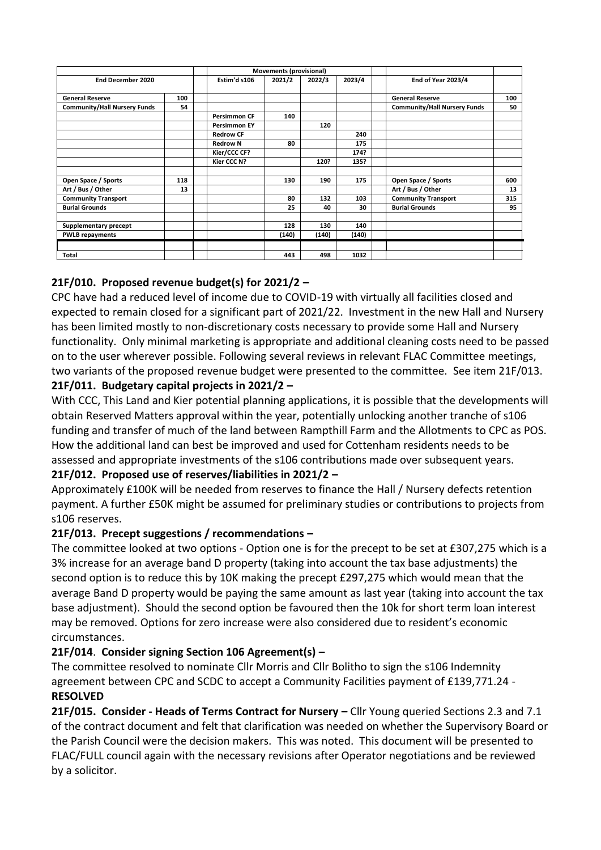|                                     |     | Movements (provisional) |        |        |        |                                     |     |
|-------------------------------------|-----|-------------------------|--------|--------|--------|-------------------------------------|-----|
| <b>End December 2020</b>            |     | Estim'd s106            | 2021/2 | 2022/3 | 2023/4 | End of Year 2023/4                  |     |
| <b>General Reserve</b>              | 100 |                         |        |        |        | <b>General Reserve</b>              | 100 |
| <b>Community/Hall Nursery Funds</b> | 54  |                         |        |        |        | <b>Community/Hall Nursery Funds</b> | 50  |
|                                     |     | <b>Persimmon CF</b>     | 140    |        |        |                                     |     |
|                                     |     | <b>Persimmon EY</b>     |        | 120    |        |                                     |     |
|                                     |     | <b>Redrow CF</b>        |        |        | 240    |                                     |     |
|                                     |     | <b>Redrow N</b>         | 80     |        | 175    |                                     |     |
|                                     |     | Kier/CCC CF?            |        |        | 174?   |                                     |     |
|                                     |     | Kier CCC N?             |        | 120?   | 135?   |                                     |     |
| Open Space / Sports                 | 118 |                         | 130    | 190    | 175    | Open Space / Sports                 | 600 |
| Art / Bus / Other                   | 13  |                         |        |        |        | Art / Bus / Other                   | 13  |
| <b>Community Transport</b>          |     |                         | 80     | 132    | 103    | <b>Community Transport</b>          | 315 |
| <b>Burial Grounds</b>               |     |                         | 25     | 40     | 30     | <b>Burial Grounds</b>               | 95  |
| Supplementary precept               |     |                         | 128    | 130    | 140    |                                     |     |
| <b>PWLB repayments</b>              |     |                         | (140)  | (140)  | (140)  |                                     |     |
|                                     |     |                         |        |        |        |                                     |     |
| <b>Total</b>                        |     |                         | 443    | 498    | 1032   |                                     |     |

# **21F/010. Proposed revenue budget(s) for 2021/2 –**

CPC have had a reduced level of income due to COVID-19 with virtually all facilities closed and expected to remain closed for a significant part of 2021/22. Investment in the new Hall and Nursery has been limited mostly to non-discretionary costs necessary to provide some Hall and Nursery functionality. Only minimal marketing is appropriate and additional cleaning costs need to be passed on to the user wherever possible. Following several reviews in relevant FLAC Committee meetings, two variants of the proposed revenue budget were presented to the committee. See item 21F/013.

## **21F/011. Budgetary capital projects in 2021/2 –**

With CCC, This Land and Kier potential planning applications, it is possible that the developments will obtain Reserved Matters approval within the year, potentially unlocking another tranche of s106 funding and transfer of much of the land between Rampthill Farm and the Allotments to CPC as POS. How the additional land can best be improved and used for Cottenham residents needs to be assessed and appropriate investments of the s106 contributions made over subsequent years.

### **21F/012. Proposed use of reserves/liabilities in 2021/2 –**

Approximately £100K will be needed from reserves to finance the Hall / Nursery defects retention payment. A further £50K might be assumed for preliminary studies or contributions to projects from s106 reserves.

### **21F/013. Precept suggestions / recommendations –**

The committee looked at two options - Option one is for the precept to be set at £307,275 which is a 3% increase for an average band D property (taking into account the tax base adjustments) the second option is to reduce this by 10K making the precept £297,275 which would mean that the average Band D property would be paying the same amount as last year (taking into account the tax base adjustment). Should the second option be favoured then the 10k for short term loan interest may be removed. Options for zero increase were also considered due to resident's economic circumstances.

# **21F/014**. **Consider signing Section 106 Agreement(s) –**

The committee resolved to nominate Cllr Morris and Cllr Bolitho to sign the s106 Indemnity agreement between CPC and SCDC to accept a Community Facilities payment of £139,771.24 - **RESOLVED**

**21F/015. Consider - Heads of Terms Contract for Nursery –** Cllr Young queried Sections 2.3 and 7.1 of the contract document and felt that clarification was needed on whether the Supervisory Board or the Parish Council were the decision makers. This was noted. This document will be presented to FLAC/FULL council again with the necessary revisions after Operator negotiations and be reviewed by a solicitor.